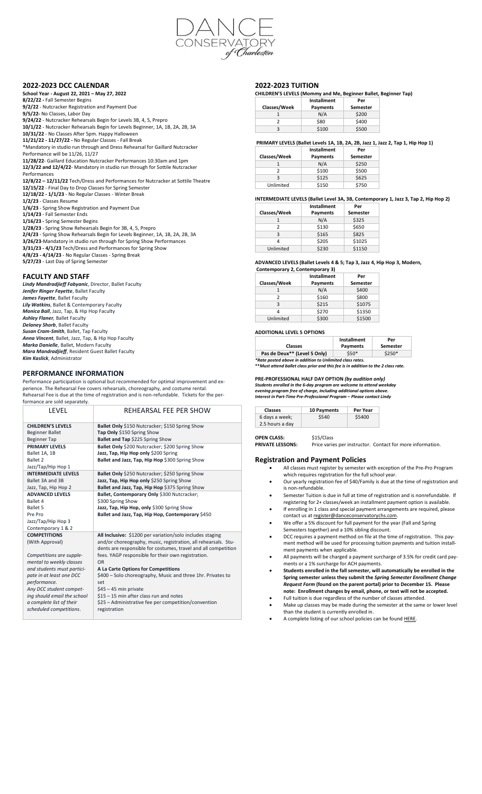

## **2022-2023 DCC CALENDAR**

**School Year - August 22, 2021 – May 27, 2022 8/22/22 -** Fall Semester Begins

- **9/2/22** Nutcracker Registration and Payment Due
- **9/5/22-** No Classes, Labor Day
- **9/24/22** Nutcracker Rehearsals Begin for Levels 3B, 4, 5, Prepro
- **10/1/22** Nutcracker Rehearsals Begin for Levels Beginner, 1A, 1B, 2A, 2B, 3A
- **10/31/22** No Classes After 5pm. Happy Halloween
- **11/21/22 - 11/27/22 -** No Regular Classes Fall Break \*Mandatory in studio run through and Dress Rehearsal for Gaillard Nutcracker
- Performance will be 11/26, 11/27
- **11/28/22** Gaillard Education Nutcracker Performances 10:30am and 1pm **12/3/22 and 12/4/22**- Mandatory in studio run through for Sottile Nutcracker
- Performances **12/8/22 – 12/11/22** Tech/Dress and Performances for Nutcracker at Sottile Theatre
- **12/15/22** Final Day to Drop Classes for Spring Semester **12/18/22 - 1/1/23** - No Regular Classes - Winter Break
- **1/2/23** Classes Resume
- **1/6/23** Spring Show Registration and Payment Due
- **1/14/23** Fall Semester Ends
- **1/16/23 -** Spring Semester Begins **1/28/23** - Spring Show Rehearsals Begin for 3B, 4, 5, Prepro
- **2/4/23** Spring Show Rehearsals Begin for Levels Beginner, 1A, 1B, 2A, 2B, 3A **3/26/23**-Mandatory in studio run through for Spring Show Performances **3/31/23 - 4/1/23** Tech/Dress and Performances for Spring Show **4/8/23 - 4/14/23** - No Regular Classes - Spring Break **5/27/23** - Last Day of Spring Semester

#### **FACULTY AND STAFF**

*Lindy Mandradjieff Fabyanic*, Director, Ballet Faculty *Jenifer Ringer Fayette*, Ballet Faculty *James Fayette*, Ballet Faculty *Lily Watkins*, Ballet & Contemporary Faculty *Monica Ball*, Jazz, Tap, & Hip Hop Faculty *Ashley Flaner,* Ballet Faculty *Delaney Shorb*, Ballet Faculty *Susan Cram-Smith*, Ballet, Tap Faculty *Anna Vincent*, Ballet, Jazz, Tap, & Hip Hop Faculty *Marka Danielle,* Ballet, Modern Faculty *Mara Mandradjieff*, Resident Guest Ballet Faculty *Kim Kaslick*, Administrator

## **PERFORMANCE INFORMATION**

formance are sold separately.

Performance participation is optional but recommended for optimal improvement and experience. The Rehearsal Fee covers rehearsals, choreography, and costume rental. Rehearsal Fee is due at the time of registration and is non-refundable. Tickets for the per-

| <b>LEVEL</b>                             | REHEARSAL FEE PER SHOW                                             |
|------------------------------------------|--------------------------------------------------------------------|
| <b>CHILDREN'S LEVELS</b>                 | Ballet Only \$150 Nutcracker; \$150 Spring Show                    |
| <b>Beginner Ballet</b>                   | Tap Only \$150 Spring Show                                         |
| <b>Beginner Tap</b>                      | Ballet and Tap \$225 Spring Show                                   |
| <b>PRIMARY LEVELS</b>                    | Ballet Only \$200 Nutcracker; \$200 Spring Show                    |
| Ballet 1A. 1B                            | Jazz, Tap, Hip Hop only \$200 Spring                               |
| Ballet 2                                 | Ballet and Jazz, Tap, Hip Hop \$300 Spring Show                    |
| Jazz/Tap/Hip Hop 1                       |                                                                    |
| <b>INTERMEDIATE LEVELS</b>               | Ballet Only \$250 Nutcracker; \$250 Spring Show                    |
| Ballet 3A and 3B                         | Jazz, Tap, Hip Hop only \$250 Spring Show                          |
| Jazz, Tap, Hip Hop 2                     | Ballet and Jazz, Tap, Hip Hop \$375 Spring Show                    |
| <b>ADVANCED LEVELS</b>                   | Ballet, Contemporary Only \$300 Nutcracker;                        |
| Ballet 4                                 | \$300 Spring Show                                                  |
| <b>Ballet 5</b>                          | Jazz, Tap, Hip Hop, only \$300 Spring Show                         |
| Pre Pro                                  | Ballet and Jazz, Tap, Hip Hop, Contemporary \$450                  |
| Jazz/Tap/Hip Hop 3                       |                                                                    |
| Contemporary 1 & 2                       |                                                                    |
| <b>COMPETITIONS</b>                      | All Inclusive: \$1200 per variation/solo includes staging          |
| (With Approval)                          | and/or choreography, music, registration, all rehearsals. Stu-     |
|                                          | dents are responsible for costumes, travel and all competition     |
| Competitions are supple-                 | fees. YAGP responsible for their own registration.                 |
| mental to weekly classes                 | <b>OR</b>                                                          |
| and students must partici-               | A La Carte Options for Competitions                                |
| pate in at least one DCC<br>performance. | \$400 - Solo choreography, Music and three 1hr. Privates to<br>set |
| Any DCC student compet-                  | $$45 - 45$ min private                                             |
| ing should email the school              | \$15 - 15 min after class run and notes                            |
| a complete list of their                 | \$25 - Administrative fee per competition/convention               |
| scheduled competitions.                  | registration                                                       |
|                                          |                                                                    |

## **2022-2023 TUITION**

**CHILDREN'S LEVELS (Mommy and Me, Beginner Ballet, Beginner Tap)**

|                     | Installment | Per      |
|---------------------|-------------|----------|
| <b>Classes/Week</b> | Payments    | Semester |
|                     | N/A         | \$200    |
|                     | \$80        | \$400    |
|                     | \$100       | \$500    |

#### **PRIMARY LEVELS (Ballet Levels 1A, 1B, 2A, 2B, Jazz 1, Jazz 2, Tap 1, Hip Hop 1)**

|              | <b>Installment</b> | Per      |
|--------------|--------------------|----------|
| Classes/Week | Payments           | Semester |
|              | N/A                | \$250    |
| 2            | \$100              | \$500    |
| 3            | \$125              | \$625    |
| Unlimited    | \$150              | \$750    |

**INTERMEDIATE LEVELS (Ballet Level 3A, 3B, Contemporary 1, Jazz 3, Tap 2, Hip Hop 2)** <u>.</u><br>Installme

|              | <b>Installment</b> | Per             |
|--------------|--------------------|-----------------|
| Classes/Week | <b>Payments</b>    | <b>Semester</b> |
|              | N/A                | \$325           |
| 2            | \$130              | \$650           |
| 3            | \$165              | \$825           |
|              | \$205              | \$1025          |
| Unlimited    | \$230              | \$1150          |

**ADVANCED LEVELS (Ballet Levels 4 & 5; Tap 3, Jazz 4, Hip Hop 3, Modern,**

## **Contemporary 2, Contemporary 3)**

|              | <b>Installment</b> | Per      |
|--------------|--------------------|----------|
| Classes/Week | Payments           | Semester |
|              | N/A                | \$400    |
| 2            | \$160              | \$800    |
| 3            | \$215              | \$1075   |
|              | \$270              | \$1350   |
| Unlimited    | \$300              | \$1500   |

#### **ADDITIONAL LEVEL 5 OPTIONS**

|                                                                                                                                               | Installment | Per      |
|-----------------------------------------------------------------------------------------------------------------------------------------------|-------------|----------|
| <b>Classes</b>                                                                                                                                | Payments    | Semester |
| Pas de Deux** (Level 5 Only)                                                                                                                  | $$50*$      | $$250*$  |
| *Rate posted above in addition to Unlimited class rates.<br>**Must attend ballet class prior and this fee is in addition to the 2 class rate. |             |          |

### **PRE-PROFESSIONAL HALF DAY OPTION** *(by audition only)*

Students enrolled in the 6-day program are welcome to attend weekday<br>evening program free of charge, including additional options above.<br>Interest in Part-Time Pre-Professional Program – Please contact Lindy

| <b>Classes</b>                    | 10 Payments | Per Year |
|-----------------------------------|-------------|----------|
| 6 days a week;<br>2.5 hours a day | \$540       | \$5400   |

**OPEN CLASS:** \$15/Class<br>**PRIVATE LESSONS:** Price varie **Price varies per instructor. Contact for more information.** 

### **Registration and Payment Policies**

- All classes must register by semester with exception of the Pre-Pro Program which requires registration for the full school year.
- Our yearly registration fee of \$40/Family is due at the time of registration and is non-refundable.
- Semester Tuition is due in full at time of registration and is nonrefundable. If
- registering for 2+ classes/week an installment payment option is available. • If enrolling in 1 class and special payment arrangements are required, please
- contact us at [register@danceconservatorychs.com.](mailto:register@danceconservatorychs.com)
- We offer a 5% discount for full payment for the year (Fall and Spring
- Semesters together) and a 10% sibling discount.
- DCC requires a payment method on file at the time of registration. This payment method will be used for processing tuition payments and tuition installment payments when applicable.
- All payments will be charged a payment surcharge of 3.5% for credit card payments or a 1% surcharge for ACH payments.
- **Students enrolled in the fall semester, will automatically be enrolled in the Spring semester unless they submit the** *Spring Semester Enrollment Change Request Form* **(found on the parent portal) prior to December 15. Please note: Enrollment changes by email, phone, or text will not be accepted.**
- Full tuition is due regardless of the number of classes attended. • Make up classes may be made during the semester at the same or lower level than the student is currently enrolled in.
- A complete listing of our school policies can be found HERE.